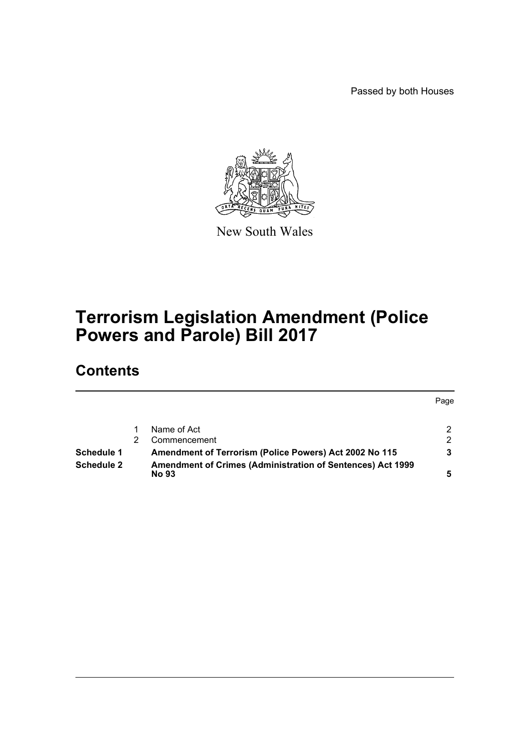Passed by both Houses



New South Wales

# **Terrorism Legislation Amendment (Police Powers and Parole) Bill 2017**

# **Contents**

|                   |                                                                            | Page |
|-------------------|----------------------------------------------------------------------------|------|
|                   |                                                                            |      |
|                   | Name of Act                                                                |      |
|                   | Commencement                                                               | ົ    |
| Schedule 1        | Amendment of Terrorism (Police Powers) Act 2002 No 115                     |      |
| <b>Schedule 2</b> | Amendment of Crimes (Administration of Sentences) Act 1999<br><b>No 93</b> |      |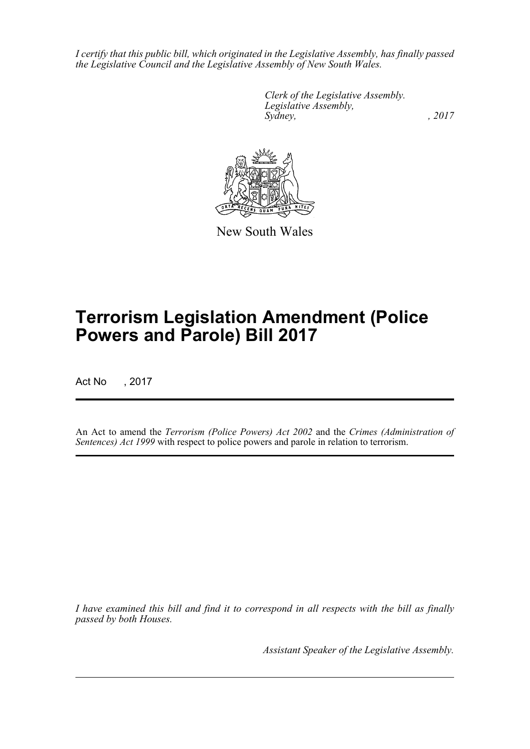*I certify that this public bill, which originated in the Legislative Assembly, has finally passed the Legislative Council and the Legislative Assembly of New South Wales.*

> *Clerk of the Legislative Assembly. Legislative Assembly, Sydney,* , 2017



New South Wales

# **Terrorism Legislation Amendment (Police Powers and Parole) Bill 2017**

Act No , 2017

An Act to amend the *Terrorism (Police Powers) Act 2002* and the *Crimes (Administration of Sentences) Act 1999* with respect to police powers and parole in relation to terrorism.

*I have examined this bill and find it to correspond in all respects with the bill as finally passed by both Houses.*

*Assistant Speaker of the Legislative Assembly.*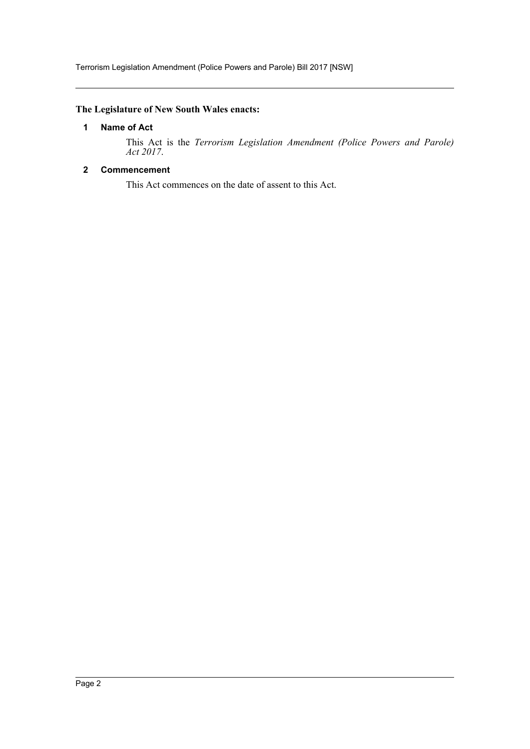Terrorism Legislation Amendment (Police Powers and Parole) Bill 2017 [NSW]

## <span id="page-2-0"></span>**The Legislature of New South Wales enacts:**

## **1 Name of Act**

This Act is the *Terrorism Legislation Amendment (Police Powers and Parole) Act 2017*.

## <span id="page-2-1"></span>**2 Commencement**

This Act commences on the date of assent to this Act.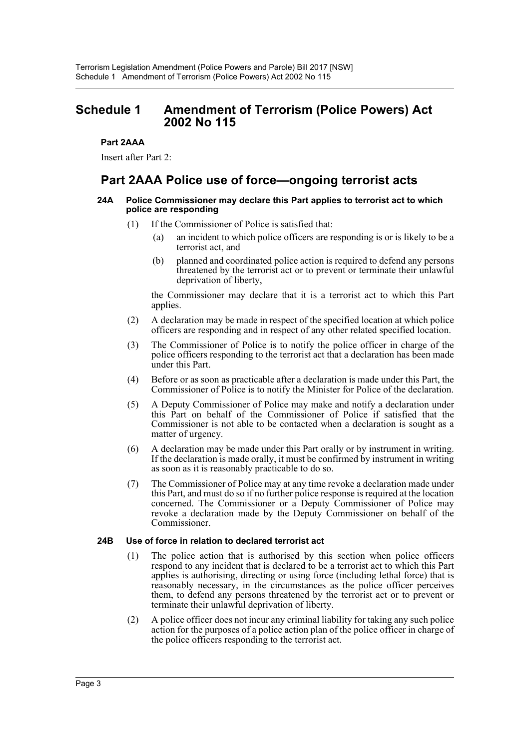# <span id="page-3-0"></span>**Schedule 1 Amendment of Terrorism (Police Powers) Act 2002 No 115**

## **Part 2AAA**

Insert after Part 2:

# **Part 2AAA Police use of force—ongoing terrorist acts**

#### **24A Police Commissioner may declare this Part applies to terrorist act to which police are responding**

- (1) If the Commissioner of Police is satisfied that:
	- (a) an incident to which police officers are responding is or is likely to be a terrorist act, and
	- (b) planned and coordinated police action is required to defend any persons threatened by the terrorist act or to prevent or terminate their unlawful deprivation of liberty,

the Commissioner may declare that it is a terrorist act to which this Part applies.

- (2) A declaration may be made in respect of the specified location at which police officers are responding and in respect of any other related specified location.
- (3) The Commissioner of Police is to notify the police officer in charge of the police officers responding to the terrorist act that a declaration has been made under this Part.
- (4) Before or as soon as practicable after a declaration is made under this Part, the Commissioner of Police is to notify the Minister for Police of the declaration.
- (5) A Deputy Commissioner of Police may make and notify a declaration under this Part on behalf of the Commissioner of Police if satisfied that the Commissioner is not able to be contacted when a declaration is sought as a matter of urgency.
- (6) A declaration may be made under this Part orally or by instrument in writing. If the declaration is made orally, it must be confirmed by instrument in writing as soon as it is reasonably practicable to do so.
- (7) The Commissioner of Police may at any time revoke a declaration made under this Part, and must do so if no further police response is required at the location concerned. The Commissioner or a Deputy Commissioner of Police may revoke a declaration made by the Deputy Commissioner on behalf of the Commissioner.

#### **24B Use of force in relation to declared terrorist act**

- (1) The police action that is authorised by this section when police officers respond to any incident that is declared to be a terrorist act to which this Part applies is authorising, directing or using force (including lethal force) that is reasonably necessary, in the circumstances as the police officer perceives them, to defend any persons threatened by the terrorist act or to prevent or terminate their unlawful deprivation of liberty.
- (2) A police officer does not incur any criminal liability for taking any such police action for the purposes of a police action plan of the police officer in charge of the police officers responding to the terrorist act.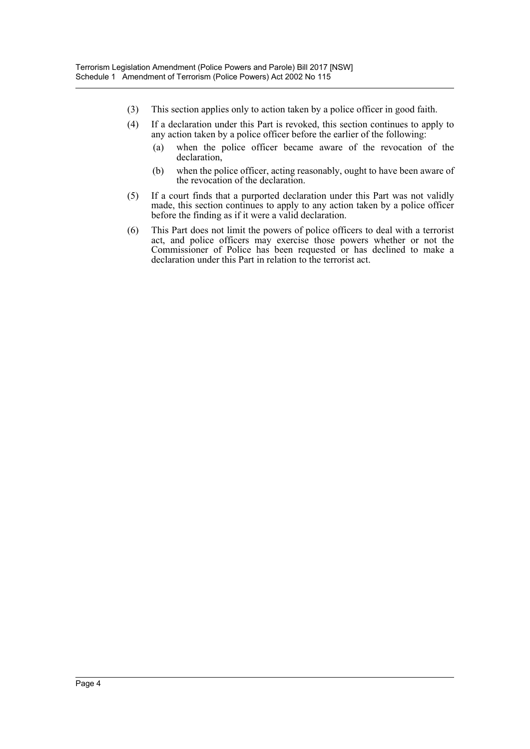- (3) This section applies only to action taken by a police officer in good faith.
- (4) If a declaration under this Part is revoked, this section continues to apply to any action taken by a police officer before the earlier of the following:
	- (a) when the police officer became aware of the revocation of the declaration,
	- (b) when the police officer, acting reasonably, ought to have been aware of the revocation of the declaration.
- (5) If a court finds that a purported declaration under this Part was not validly made, this section continues to apply to any action taken by a police officer before the finding as if it were a valid declaration.
- (6) This Part does not limit the powers of police officers to deal with a terrorist act, and police officers may exercise those powers whether or not the Commissioner of Police has been requested or has declined to make a declaration under this Part in relation to the terrorist act.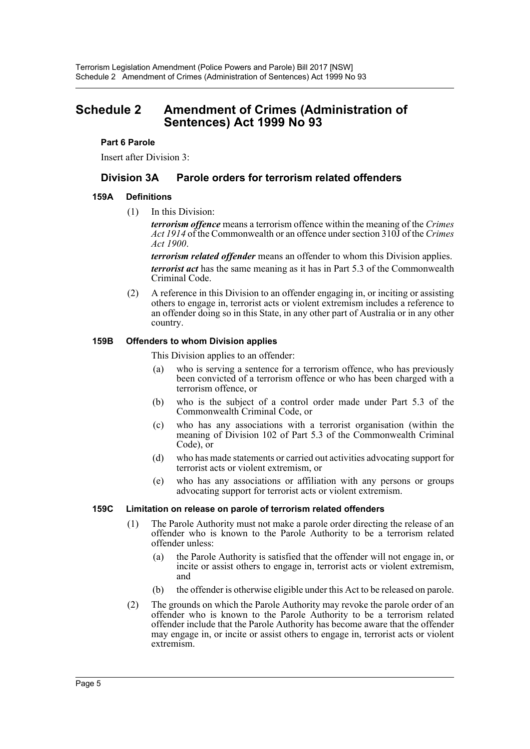# <span id="page-5-0"></span>**Schedule 2 Amendment of Crimes (Administration of Sentences) Act 1999 No 93**

### **Part 6 Parole**

Insert after Division 3:

# **Division 3A Parole orders for terrorism related offenders**

### **159A Definitions**

(1) In this Division:

*terrorism offence* means a terrorism offence within the meaning of the *Crimes Act 1914* of the Commonwealth or an offence under section 310J of the *Crimes Act 1900*.

*terrorism related offender* means an offender to whom this Division applies. *terrorist act* has the same meaning as it has in Part 5.3 of the Commonwealth Criminal Code.

(2) A reference in this Division to an offender engaging in, or inciting or assisting others to engage in, terrorist acts or violent extremism includes a reference to an offender doing so in this State, in any other part of Australia or in any other country.

### **159B Offenders to whom Division applies**

This Division applies to an offender:

- (a) who is serving a sentence for a terrorism offence, who has previously been convicted of a terrorism offence or who has been charged with a terrorism offence, or
- (b) who is the subject of a control order made under Part 5.3 of the Commonwealth Criminal Code, or
- (c) who has any associations with a terrorist organisation (within the meaning of Division 102 of Part 5.3 of the Commonwealth Criminal Code) or
- (d) who has made statements or carried out activities advocating support for terrorist acts or violent extremism, or
- (e) who has any associations or affiliation with any persons or groups advocating support for terrorist acts or violent extremism.

#### **159C Limitation on release on parole of terrorism related offenders**

- (1) The Parole Authority must not make a parole order directing the release of an offender who is known to the Parole Authority to be a terrorism related offender unless:
	- (a) the Parole Authority is satisfied that the offender will not engage in, or incite or assist others to engage in, terrorist acts or violent extremism, and
	- (b) the offender is otherwise eligible under this Act to be released on parole.
- (2) The grounds on which the Parole Authority may revoke the parole order of an offender who is known to the Parole Authority to be a terrorism related offender include that the Parole Authority has become aware that the offender may engage in, or incite or assist others to engage in, terrorist acts or violent extremism.